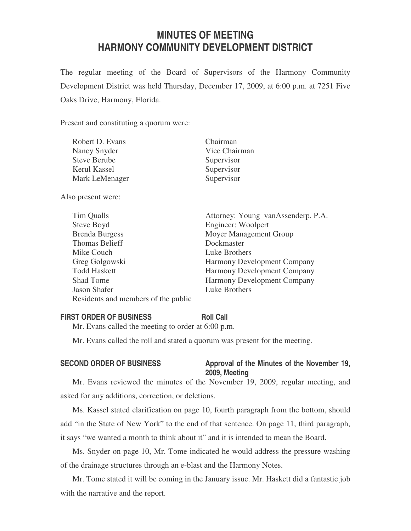# **MINUTES OF MEETING HARMONY COMMUNITY DEVELOPMENT DISTRICT**

The regular meeting of the Board of Supervisors of the Harmony Community Development District was held Thursday, December 17, 2009, at 6:00 p.m. at 7251 Five Oaks Drive, Harmony, Florida.

Present and constituting a quorum were:

| Robert D. Evans     | Chairman      |
|---------------------|---------------|
| Nancy Snyder        | Vice Chairman |
| <b>Steve Berube</b> | Supervisor    |
| Kerul Kassel        | Supervisor    |
| Mark LeMenager      | Supervisor    |
|                     |               |

Also present were:

| Tim Qualls                          | Attorney: Young vanAssenderp, P.A. |
|-------------------------------------|------------------------------------|
| Steve Boyd                          | Engineer: Woolpert                 |
| <b>Brenda Burgess</b>               | Moyer Management Group             |
| <b>Thomas Belieff</b>               | Dockmaster                         |
| Mike Couch                          | Luke Brothers                      |
| Greg Golgowski                      | Harmony Development Company        |
| <b>Todd Haskett</b>                 | Harmony Development Company        |
| <b>Shad Tome</b>                    | <b>Harmony Development Company</b> |
| Jason Shafer                        | Luke Brothers                      |
| Residents and members of the public |                                    |

#### **FIRST ORDER OF BUSINESS Roll Call**

Mr. Evans called the meeting to order at 6:00 p.m.

Mr. Evans called the roll and stated a quorum was present for the meeting.

### SECOND ORDER OF BUSINESS Approval of the Minutes of the November 19, **2009, Meeting**

Mr. Evans reviewed the minutes of the November 19, 2009, regular meeting, and asked for any additions, correction, or deletions.

Ms. Kassel stated clarification on page 10, fourth paragraph from the bottom, should add "in the State of New York" to the end of that sentence. On page 11, third paragraph, it says "we wanted a month to think about it" and it is intended to mean the Board.

Ms. Snyder on page 10, Mr. Tome indicated he would address the pressure washing of the drainage structures through an e-blast and the Harmony Notes.

Mr. Tome stated it will be coming in the January issue. Mr. Haskett did a fantastic job with the narrative and the report.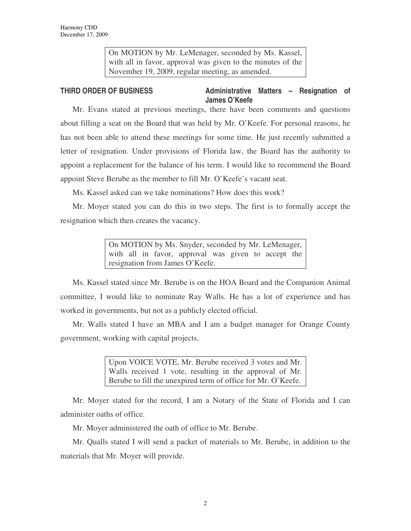On MOTION by Mr. LeMenager, seconded by Ms. Kassel, with all in favor, approval was given to the minutes of the November 19, 2009, regular meeting, as amended.

### **THIRD ORDER OF BUSINESS Administrative Matters – Resignation of James O'Keefe**

Mr. Evans stated at previous meetings, there have been comments and questions about filling a seat on the Board that was held by Mr. O'Keefe. For personal reasons, he has not been able to attend these meetings for some time. He just recently submitted a letter of resignation. Under provisions of Florida law, the Board has the authority to appoint a replacement for the balance of his term. I would like to recommend the Board appoint Steve Berube as the member to fill Mr. O'Keefe's vacant seat.

Ms. Kassel asked can we take nominations? How does this work?

Mr. Moyer stated you can do this in two steps. The first is to formally accept the resignation which then creates the vacancy.

> On MOTION by Ms. Snyder, seconded by Mr. LeMenager, with all in favor, approval was given to accept the resignation from James O'Keefe.

Ms. Kassel stated since Mr. Berube is on the HOA Board and the Companion Animal committee, I would like to nominate Ray Walls. He has a lot of experience and has worked in governments, but not as a publicly elected official.

Mr. Walls stated I have an MBA and I am a budget manager for Orange County government, working with capital projects.

> Upon VOICE VOTE, Mr. Berube received 3 votes and Mr. Walls received 1 vote, resulting in the approval of Mr. Berube to fill the unexpired term of office for Mr. O'Keefe.

Mr. Moyer stated for the record, I am a Notary of the State of Florida and I can administer oaths of office.

Mr. Moyer administered the oath of office to Mr. Berube.

Mr. Qualls stated I will send a packet of materials to Mr. Berube, in addition to the materials that Mr. Moyer will provide.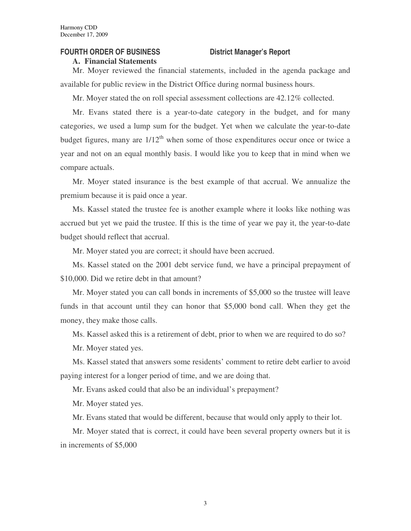#### **FOURTH ORDER OF BUSINESS District Manager's Report**

#### **A. Financial Statements**

Mr. Moyer reviewed the financial statements, included in the agenda package and available for public review in the District Office during normal business hours.

Mr. Moyer stated the on roll special assessment collections are 42.12% collected.

Mr. Evans stated there is a year-to-date category in the budget, and for many categories, we used a lump sum for the budget. Yet when we calculate the year-to-date budget figures, many are  $1/12<sup>th</sup>$  when some of those expenditures occur once or twice a year and not on an equal monthly basis. I would like you to keep that in mind when we compare actuals.

Mr. Moyer stated insurance is the best example of that accrual. We annualize the premium because it is paid once a year.

Ms. Kassel stated the trustee fee is another example where it looks like nothing was accrued but yet we paid the trustee. If this is the time of year we pay it, the year-to-date budget should reflect that accrual.

Mr. Moyer stated you are correct; it should have been accrued.

Ms. Kassel stated on the 2001 debt service fund, we have a principal prepayment of \$10,000. Did we retire debt in that amount?

Mr. Moyer stated you can call bonds in increments of \$5,000 so the trustee will leave funds in that account until they can honor that \$5,000 bond call. When they get the money, they make those calls.

Ms. Kassel asked this is a retirement of debt, prior to when we are required to do so?

Mr. Moyer stated yes.

Ms. Kassel stated that answers some residents' comment to retire debt earlier to avoid paying interest for a longer period of time, and we are doing that.

Mr. Evans asked could that also be an individual's prepayment?

Mr. Moyer stated yes.

Mr. Evans stated that would be different, because that would only apply to their lot.

Mr. Moyer stated that is correct, it could have been several property owners but it is in increments of \$5,000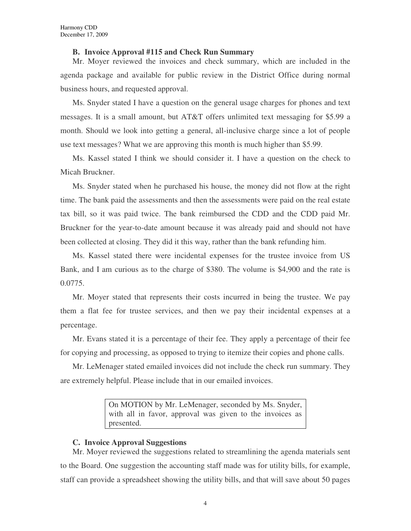#### **B. Invoice Approval #115 and Check Run Summary**

Mr. Moyer reviewed the invoices and check summary, which are included in the agenda package and available for public review in the District Office during normal business hours, and requested approval.

Ms. Snyder stated I have a question on the general usage charges for phones and text messages. It is a small amount, but AT&T offers unlimited text messaging for \$5.99 a month. Should we look into getting a general, all-inclusive charge since a lot of people use text messages? What we are approving this month is much higher than \$5.99.

Ms. Kassel stated I think we should consider it. I have a question on the check to Micah Bruckner.

Ms. Snyder stated when he purchased his house, the money did not flow at the right time. The bank paid the assessments and then the assessments were paid on the real estate tax bill, so it was paid twice. The bank reimbursed the CDD and the CDD paid Mr. Bruckner for the year-to-date amount because it was already paid and should not have been collected at closing. They did it this way, rather than the bank refunding him.

Ms. Kassel stated there were incidental expenses for the trustee invoice from US Bank, and I am curious as to the charge of \$380. The volume is \$4,900 and the rate is 0.0775.

Mr. Moyer stated that represents their costs incurred in being the trustee. We pay them a flat fee for trustee services, and then we pay their incidental expenses at a percentage.

Mr. Evans stated it is a percentage of their fee. They apply a percentage of their fee for copying and processing, as opposed to trying to itemize their copies and phone calls.

Mr. LeMenager stated emailed invoices did not include the check run summary. They are extremely helpful. Please include that in our emailed invoices.

> On MOTION by Mr. LeMenager, seconded by Ms. Snyder, with all in favor, approval was given to the invoices as presented.

#### **C. Invoice Approval Suggestions**

Mr. Moyer reviewed the suggestions related to streamlining the agenda materials sent to the Board. One suggestion the accounting staff made was for utility bills, for example, staff can provide a spreadsheet showing the utility bills, and that will save about 50 pages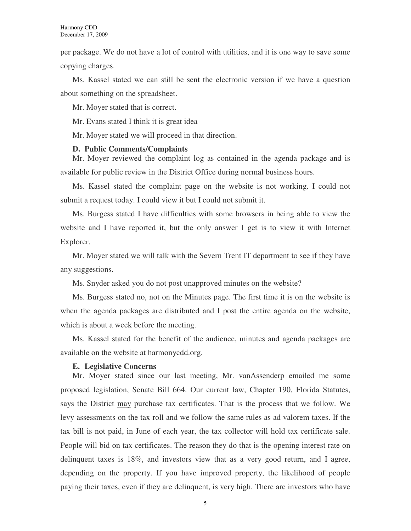per package. We do not have a lot of control with utilities, and it is one way to save some copying charges.

Ms. Kassel stated we can still be sent the electronic version if we have a question about something on the spreadsheet.

Mr. Moyer stated that is correct.

Mr. Evans stated I think it is great idea

Mr. Moyer stated we will proceed in that direction.

#### **D. Public Comments/Complaints**

Mr. Moyer reviewed the complaint log as contained in the agenda package and is available for public review in the District Office during normal business hours.

Ms. Kassel stated the complaint page on the website is not working. I could not submit a request today. I could view it but I could not submit it.

Ms. Burgess stated I have difficulties with some browsers in being able to view the website and I have reported it, but the only answer I get is to view it with Internet Explorer.

Mr. Moyer stated we will talk with the Severn Trent IT department to see if they have any suggestions.

Ms. Snyder asked you do not post unapproved minutes on the website?

Ms. Burgess stated no, not on the Minutes page. The first time it is on the website is when the agenda packages are distributed and I post the entire agenda on the website, which is about a week before the meeting.

Ms. Kassel stated for the benefit of the audience, minutes and agenda packages are available on the website at harmonycdd.org.

#### **E. Legislative Concerns**

Mr. Moyer stated since our last meeting, Mr. vanAssenderp emailed me some proposed legislation, Senate Bill 664. Our current law, Chapter 190, Florida Statutes, says the District may purchase tax certificates. That is the process that we follow. We levy assessments on the tax roll and we follow the same rules as ad valorem taxes. If the tax bill is not paid, in June of each year, the tax collector will hold tax certificate sale. People will bid on tax certificates. The reason they do that is the opening interest rate on delinquent taxes is 18%, and investors view that as a very good return, and I agree, depending on the property. If you have improved property, the likelihood of people paying their taxes, even if they are delinquent, is very high. There are investors who have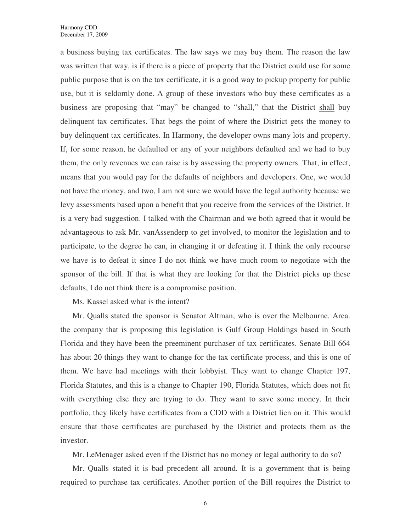a business buying tax certificates. The law says we may buy them. The reason the law was written that way, is if there is a piece of property that the District could use for some public purpose that is on the tax certificate, it is a good way to pickup property for public use, but it is seldomly done. A group of these investors who buy these certificates as a business are proposing that "may" be changed to "shall," that the District shall buy delinquent tax certificates. That begs the point of where the District gets the money to buy delinquent tax certificates. In Harmony, the developer owns many lots and property. If, for some reason, he defaulted or any of your neighbors defaulted and we had to buy them, the only revenues we can raise is by assessing the property owners. That, in effect, means that you would pay for the defaults of neighbors and developers. One, we would not have the money, and two, I am not sure we would have the legal authority because we levy assessments based upon a benefit that you receive from the services of the District. It is a very bad suggestion. I talked with the Chairman and we both agreed that it would be advantageous to ask Mr. vanAssenderp to get involved, to monitor the legislation and to participate, to the degree he can, in changing it or defeating it. I think the only recourse we have is to defeat it since I do not think we have much room to negotiate with the sponsor of the bill. If that is what they are looking for that the District picks up these defaults, I do not think there is a compromise position.

Ms. Kassel asked what is the intent?

Mr. Qualls stated the sponsor is Senator Altman, who is over the Melbourne. Area. the company that is proposing this legislation is Gulf Group Holdings based in South Florida and they have been the preeminent purchaser of tax certificates. Senate Bill 664 has about 20 things they want to change for the tax certificate process, and this is one of them. We have had meetings with their lobbyist. They want to change Chapter 197, Florida Statutes, and this is a change to Chapter 190, Florida Statutes, which does not fit with everything else they are trying to do. They want to save some money. In their portfolio, they likely have certificates from a CDD with a District lien on it. This would ensure that those certificates are purchased by the District and protects them as the investor.

Mr. LeMenager asked even if the District has no money or legal authority to do so?

Mr. Qualls stated it is bad precedent all around. It is a government that is being required to purchase tax certificates. Another portion of the Bill requires the District to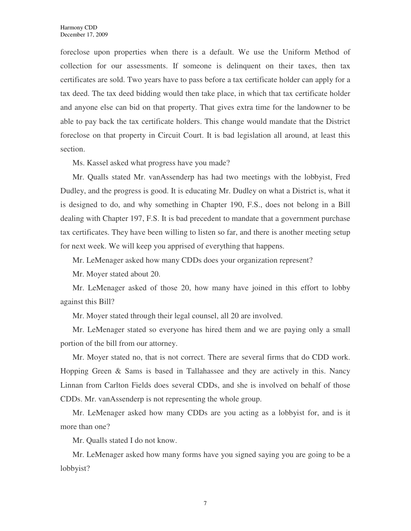foreclose upon properties when there is a default. We use the Uniform Method of collection for our assessments. If someone is delinquent on their taxes, then tax certificates are sold. Two years have to pass before a tax certificate holder can apply for a tax deed. The tax deed bidding would then take place, in which that tax certificate holder and anyone else can bid on that property. That gives extra time for the landowner to be able to pay back the tax certificate holders. This change would mandate that the District foreclose on that property in Circuit Court. It is bad legislation all around, at least this section.

Ms. Kassel asked what progress have you made?

Mr. Qualls stated Mr. vanAssenderp has had two meetings with the lobbyist, Fred Dudley, and the progress is good. It is educating Mr. Dudley on what a District is, what it is designed to do, and why something in Chapter 190, F.S., does not belong in a Bill dealing with Chapter 197, F.S. It is bad precedent to mandate that a government purchase tax certificates. They have been willing to listen so far, and there is another meeting setup for next week. We will keep you apprised of everything that happens.

Mr. LeMenager asked how many CDDs does your organization represent?

Mr. Moyer stated about 20.

Mr. LeMenager asked of those 20, how many have joined in this effort to lobby against this Bill?

Mr. Moyer stated through their legal counsel, all 20 are involved.

Mr. LeMenager stated so everyone has hired them and we are paying only a small portion of the bill from our attorney.

Mr. Moyer stated no, that is not correct. There are several firms that do CDD work. Hopping Green & Sams is based in Tallahassee and they are actively in this. Nancy Linnan from Carlton Fields does several CDDs, and she is involved on behalf of those CDDs. Mr. vanAssenderp is not representing the whole group.

Mr. LeMenager asked how many CDDs are you acting as a lobbyist for, and is it more than one?

Mr. Qualls stated I do not know.

Mr. LeMenager asked how many forms have you signed saying you are going to be a lobbyist?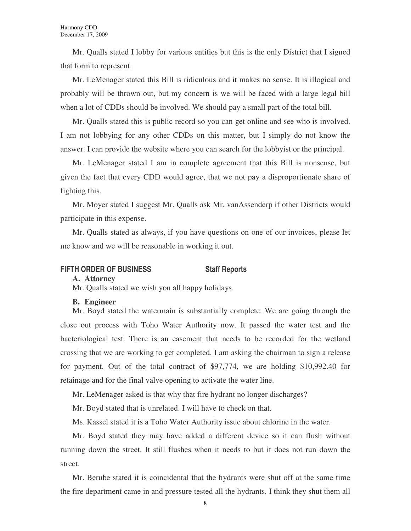Mr. Qualls stated I lobby for various entities but this is the only District that I signed that form to represent.

Mr. LeMenager stated this Bill is ridiculous and it makes no sense. It is illogical and probably will be thrown out, but my concern is we will be faced with a large legal bill when a lot of CDDs should be involved. We should pay a small part of the total bill.

Mr. Qualls stated this is public record so you can get online and see who is involved. I am not lobbying for any other CDDs on this matter, but I simply do not know the answer. I can provide the website where you can search for the lobbyist or the principal.

Mr. LeMenager stated I am in complete agreement that this Bill is nonsense, but given the fact that every CDD would agree, that we not pay a disproportionate share of fighting this.

Mr. Moyer stated I suggest Mr. Qualls ask Mr. vanAssenderp if other Districts would participate in this expense.

Mr. Qualls stated as always, if you have questions on one of our invoices, please let me know and we will be reasonable in working it out.

### **FIFTH ORDER OF BUSINESS Staff Reports**

#### **A. Attorney**

Mr. Qualls stated we wish you all happy holidays.

#### **B. Engineer**

Mr. Boyd stated the watermain is substantially complete. We are going through the close out process with Toho Water Authority now. It passed the water test and the bacteriological test. There is an easement that needs to be recorded for the wetland crossing that we are working to get completed. I am asking the chairman to sign a release for payment. Out of the total contract of \$97,774, we are holding \$10,992.40 for retainage and for the final valve opening to activate the water line.

Mr. LeMenager asked is that why that fire hydrant no longer discharges?

Mr. Boyd stated that is unrelated. I will have to check on that.

Ms. Kassel stated it is a Toho Water Authority issue about chlorine in the water.

Mr. Boyd stated they may have added a different device so it can flush without running down the street. It still flushes when it needs to but it does not run down the street.

Mr. Berube stated it is coincidental that the hydrants were shut off at the same time the fire department came in and pressure tested all the hydrants. I think they shut them all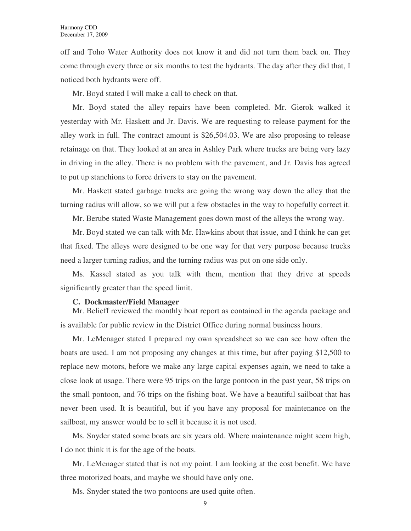off and Toho Water Authority does not know it and did not turn them back on. They come through every three or six months to test the hydrants. The day after they did that, I noticed both hydrants were off.

Mr. Boyd stated I will make a call to check on that.

Mr. Boyd stated the alley repairs have been completed. Mr. Gierok walked it yesterday with Mr. Haskett and Jr. Davis. We are requesting to release payment for the alley work in full. The contract amount is \$26,504.03. We are also proposing to release retainage on that. They looked at an area in Ashley Park where trucks are being very lazy in driving in the alley. There is no problem with the pavement, and Jr. Davis has agreed to put up stanchions to force drivers to stay on the pavement.

Mr. Haskett stated garbage trucks are going the wrong way down the alley that the turning radius will allow, so we will put a few obstacles in the way to hopefully correct it.

Mr. Berube stated Waste Management goes down most of the alleys the wrong way.

Mr. Boyd stated we can talk with Mr. Hawkins about that issue, and I think he can get that fixed. The alleys were designed to be one way for that very purpose because trucks need a larger turning radius, and the turning radius was put on one side only.

Ms. Kassel stated as you talk with them, mention that they drive at speeds significantly greater than the speed limit.

#### **C. Dockmaster/Field Manager**

Mr. Belieff reviewed the monthly boat report as contained in the agenda package and is available for public review in the District Office during normal business hours.

Mr. LeMenager stated I prepared my own spreadsheet so we can see how often the boats are used. I am not proposing any changes at this time, but after paying \$12,500 to replace new motors, before we make any large capital expenses again, we need to take a close look at usage. There were 95 trips on the large pontoon in the past year, 58 trips on the small pontoon, and 76 trips on the fishing boat. We have a beautiful sailboat that has never been used. It is beautiful, but if you have any proposal for maintenance on the sailboat, my answer would be to sell it because it is not used.

Ms. Snyder stated some boats are six years old. Where maintenance might seem high, I do not think it is for the age of the boats.

Mr. LeMenager stated that is not my point. I am looking at the cost benefit. We have three motorized boats, and maybe we should have only one.

Ms. Snyder stated the two pontoons are used quite often.

9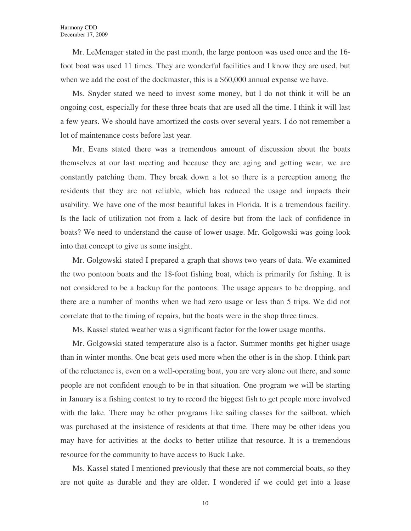Mr. LeMenager stated in the past month, the large pontoon was used once and the 16 foot boat was used 11 times. They are wonderful facilities and I know they are used, but when we add the cost of the dockmaster, this is a \$60,000 annual expense we have.

Ms. Snyder stated we need to invest some money, but I do not think it will be an ongoing cost, especially for these three boats that are used all the time. I think it will last a few years. We should have amortized the costs over several years. I do not remember a lot of maintenance costs before last year.

Mr. Evans stated there was a tremendous amount of discussion about the boats themselves at our last meeting and because they are aging and getting wear, we are constantly patching them. They break down a lot so there is a perception among the residents that they are not reliable, which has reduced the usage and impacts their usability. We have one of the most beautiful lakes in Florida. It is a tremendous facility. Is the lack of utilization not from a lack of desire but from the lack of confidence in boats? We need to understand the cause of lower usage. Mr. Golgowski was going look into that concept to give us some insight.

Mr. Golgowski stated I prepared a graph that shows two years of data. We examined the two pontoon boats and the 18-foot fishing boat, which is primarily for fishing. It is not considered to be a backup for the pontoons. The usage appears to be dropping, and there are a number of months when we had zero usage or less than 5 trips. We did not correlate that to the timing of repairs, but the boats were in the shop three times.

Ms. Kassel stated weather was a significant factor for the lower usage months.

Mr. Golgowski stated temperature also is a factor. Summer months get higher usage than in winter months. One boat gets used more when the other is in the shop. I think part of the reluctance is, even on a well-operating boat, you are very alone out there, and some people are not confident enough to be in that situation. One program we will be starting in January is a fishing contest to try to record the biggest fish to get people more involved with the lake. There may be other programs like sailing classes for the sailboat, which was purchased at the insistence of residents at that time. There may be other ideas you may have for activities at the docks to better utilize that resource. It is a tremendous resource for the community to have access to Buck Lake.

Ms. Kassel stated I mentioned previously that these are not commercial boats, so they are not quite as durable and they are older. I wondered if we could get into a lease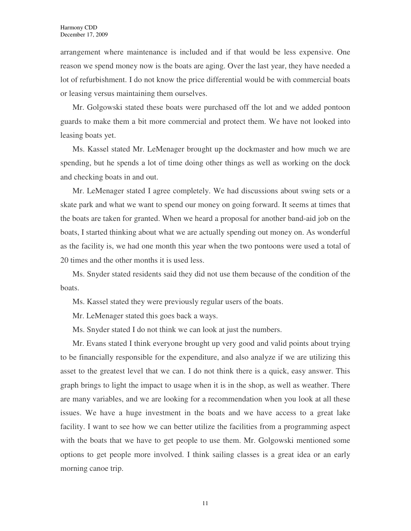arrangement where maintenance is included and if that would be less expensive. One reason we spend money now is the boats are aging. Over the last year, they have needed a lot of refurbishment. I do not know the price differential would be with commercial boats or leasing versus maintaining them ourselves.

Mr. Golgowski stated these boats were purchased off the lot and we added pontoon guards to make them a bit more commercial and protect them. We have not looked into leasing boats yet.

Ms. Kassel stated Mr. LeMenager brought up the dockmaster and how much we are spending, but he spends a lot of time doing other things as well as working on the dock and checking boats in and out.

Mr. LeMenager stated I agree completely. We had discussions about swing sets or a skate park and what we want to spend our money on going forward. It seems at times that the boats are taken for granted. When we heard a proposal for another band-aid job on the boats, I started thinking about what we are actually spending out money on. As wonderful as the facility is, we had one month this year when the two pontoons were used a total of 20 times and the other months it is used less.

Ms. Snyder stated residents said they did not use them because of the condition of the boats.

Ms. Kassel stated they were previously regular users of the boats.

Mr. LeMenager stated this goes back a ways.

Ms. Snyder stated I do not think we can look at just the numbers.

Mr. Evans stated I think everyone brought up very good and valid points about trying to be financially responsible for the expenditure, and also analyze if we are utilizing this asset to the greatest level that we can. I do not think there is a quick, easy answer. This graph brings to light the impact to usage when it is in the shop, as well as weather. There are many variables, and we are looking for a recommendation when you look at all these issues. We have a huge investment in the boats and we have access to a great lake facility. I want to see how we can better utilize the facilities from a programming aspect with the boats that we have to get people to use them. Mr. Golgowski mentioned some options to get people more involved. I think sailing classes is a great idea or an early morning canoe trip.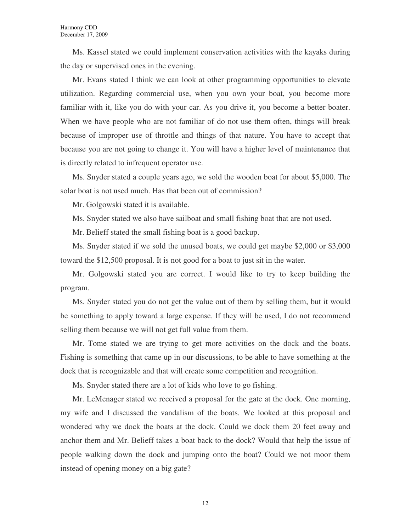Ms. Kassel stated we could implement conservation activities with the kayaks during the day or supervised ones in the evening.

Mr. Evans stated I think we can look at other programming opportunities to elevate utilization. Regarding commercial use, when you own your boat, you become more familiar with it, like you do with your car. As you drive it, you become a better boater. When we have people who are not familiar of do not use them often, things will break because of improper use of throttle and things of that nature. You have to accept that because you are not going to change it. You will have a higher level of maintenance that is directly related to infrequent operator use.

Ms. Snyder stated a couple years ago, we sold the wooden boat for about \$5,000. The solar boat is not used much. Has that been out of commission?

Mr. Golgowski stated it is available.

Ms. Snyder stated we also have sailboat and small fishing boat that are not used.

Mr. Belieff stated the small fishing boat is a good backup.

Ms. Snyder stated if we sold the unused boats, we could get maybe \$2,000 or \$3,000 toward the \$12,500 proposal. It is not good for a boat to just sit in the water.

Mr. Golgowski stated you are correct. I would like to try to keep building the program.

Ms. Snyder stated you do not get the value out of them by selling them, but it would be something to apply toward a large expense. If they will be used, I do not recommend selling them because we will not get full value from them.

Mr. Tome stated we are trying to get more activities on the dock and the boats. Fishing is something that came up in our discussions, to be able to have something at the dock that is recognizable and that will create some competition and recognition.

Ms. Snyder stated there are a lot of kids who love to go fishing.

Mr. LeMenager stated we received a proposal for the gate at the dock. One morning, my wife and I discussed the vandalism of the boats. We looked at this proposal and wondered why we dock the boats at the dock. Could we dock them 20 feet away and anchor them and Mr. Belieff takes a boat back to the dock? Would that help the issue of people walking down the dock and jumping onto the boat? Could we not moor them instead of opening money on a big gate?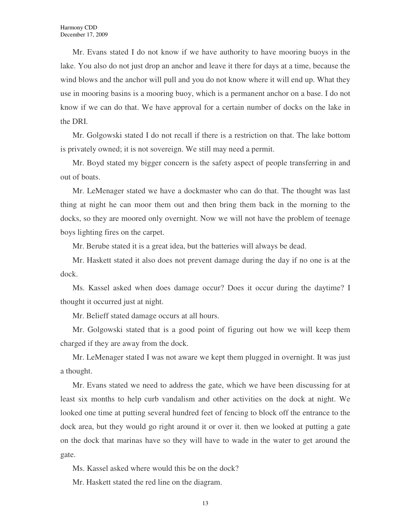Mr. Evans stated I do not know if we have authority to have mooring buoys in the lake. You also do not just drop an anchor and leave it there for days at a time, because the wind blows and the anchor will pull and you do not know where it will end up. What they use in mooring basins is a mooring buoy, which is a permanent anchor on a base. I do not know if we can do that. We have approval for a certain number of docks on the lake in the DRI.

Mr. Golgowski stated I do not recall if there is a restriction on that. The lake bottom is privately owned; it is not sovereign. We still may need a permit.

Mr. Boyd stated my bigger concern is the safety aspect of people transferring in and out of boats.

Mr. LeMenager stated we have a dockmaster who can do that. The thought was last thing at night he can moor them out and then bring them back in the morning to the docks, so they are moored only overnight. Now we will not have the problem of teenage boys lighting fires on the carpet.

Mr. Berube stated it is a great idea, but the batteries will always be dead.

Mr. Haskett stated it also does not prevent damage during the day if no one is at the dock.

Ms. Kassel asked when does damage occur? Does it occur during the daytime? I thought it occurred just at night.

Mr. Belieff stated damage occurs at all hours.

Mr. Golgowski stated that is a good point of figuring out how we will keep them charged if they are away from the dock.

Mr. LeMenager stated I was not aware we kept them plugged in overnight. It was just a thought.

Mr. Evans stated we need to address the gate, which we have been discussing for at least six months to help curb vandalism and other activities on the dock at night. We looked one time at putting several hundred feet of fencing to block off the entrance to the dock area, but they would go right around it or over it. then we looked at putting a gate on the dock that marinas have so they will have to wade in the water to get around the gate.

Ms. Kassel asked where would this be on the dock?

Mr. Haskett stated the red line on the diagram.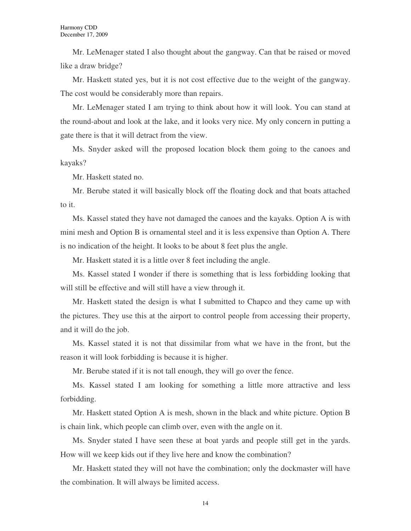Mr. LeMenager stated I also thought about the gangway. Can that be raised or moved like a draw bridge?

Mr. Haskett stated yes, but it is not cost effective due to the weight of the gangway. The cost would be considerably more than repairs.

Mr. LeMenager stated I am trying to think about how it will look. You can stand at the round-about and look at the lake, and it looks very nice. My only concern in putting a gate there is that it will detract from the view.

Ms. Snyder asked will the proposed location block them going to the canoes and kayaks?

Mr. Haskett stated no.

Mr. Berube stated it will basically block off the floating dock and that boats attached to it.

Ms. Kassel stated they have not damaged the canoes and the kayaks. Option A is with mini mesh and Option B is ornamental steel and it is less expensive than Option A. There is no indication of the height. It looks to be about 8 feet plus the angle.

Mr. Haskett stated it is a little over 8 feet including the angle.

Ms. Kassel stated I wonder if there is something that is less forbidding looking that will still be effective and will still have a view through it.

Mr. Haskett stated the design is what I submitted to Chapco and they came up with the pictures. They use this at the airport to control people from accessing their property, and it will do the job.

Ms. Kassel stated it is not that dissimilar from what we have in the front, but the reason it will look forbidding is because it is higher.

Mr. Berube stated if it is not tall enough, they will go over the fence.

Ms. Kassel stated I am looking for something a little more attractive and less forbidding.

Mr. Haskett stated Option A is mesh, shown in the black and white picture. Option B is chain link, which people can climb over, even with the angle on it.

Ms. Snyder stated I have seen these at boat yards and people still get in the yards. How will we keep kids out if they live here and know the combination?

Mr. Haskett stated they will not have the combination; only the dockmaster will have the combination. It will always be limited access.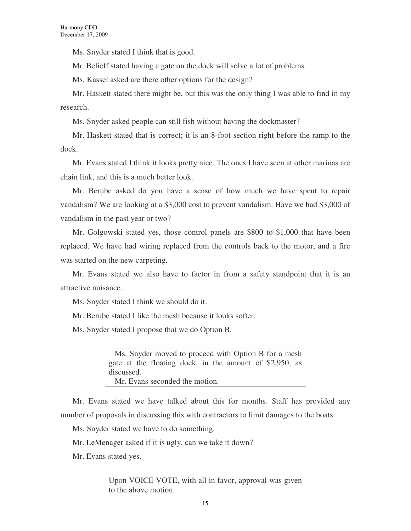Ms. Snyder stated I think that is good.

Mr. Belieff stated having a gate on the dock will solve a lot of problems.

Ms. Kassel asked are there other options for the design?

Mr. Haskett stated there might be, but this was the only thing I was able to find in my research.

Ms. Snyder asked people can still fish without having the dockmaster?

Mr. Haskett stated that is correct; it is an 8-foot section right before the ramp to the dock.

Mr. Evans stated I think it looks pretty nice. The ones I have seen at other marinas are chain link, and this is a much better look.

Mr. Berube asked do you have a sense of how much we have spent to repair vandalism? We are looking at a \$3,000 cost to prevent vandalism. Have we had \$3,000 of vandalism in the past year or two?

Mr. Golgowski stated yes, those control panels are \$800 to \$1,000 that have been replaced. We have had wiring replaced from the controls back to the motor, and a fire was started on the new carpeting.

Mr. Evans stated we also have to factor in from a safety standpoint that it is an attractive nuisance.

Ms. Snyder stated I think we should do it.

Mr. Berube stated I like the mesh because it looks softer.

Ms. Snyder stated I propose that we do Option B.

 Ms. Snyder moved to proceed with Option B for a mesh gate at the floating dock, in the amount of \$2,950, as discussed. Mr. Evans seconded the motion.

Mr. Evans stated we have talked about this for months. Staff has provided any number of proposals in discussing this with contractors to limit damages to the boats.

Ms. Snyder stated we have to do something.

Mr. LeMenager asked if it is ugly, can we take it down?

Mr. Evans stated yes.

Upon VOICE VOTE, with all in favor, approval was given to the above motion.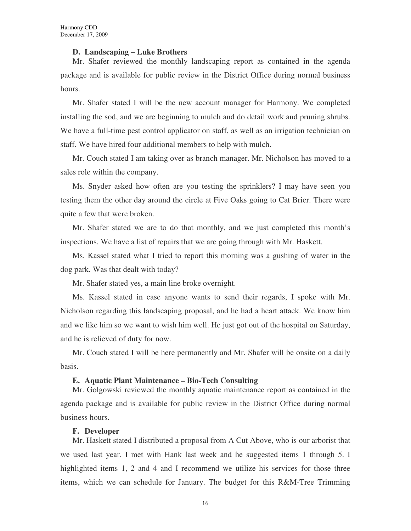#### **D. Landscaping – Luke Brothers**

Mr. Shafer reviewed the monthly landscaping report as contained in the agenda package and is available for public review in the District Office during normal business hours.

Mr. Shafer stated I will be the new account manager for Harmony. We completed installing the sod, and we are beginning to mulch and do detail work and pruning shrubs. We have a full-time pest control applicator on staff, as well as an irrigation technician on staff. We have hired four additional members to help with mulch.

Mr. Couch stated I am taking over as branch manager. Mr. Nicholson has moved to a sales role within the company.

Ms. Snyder asked how often are you testing the sprinklers? I may have seen you testing them the other day around the circle at Five Oaks going to Cat Brier. There were quite a few that were broken.

Mr. Shafer stated we are to do that monthly, and we just completed this month's inspections. We have a list of repairs that we are going through with Mr. Haskett.

Ms. Kassel stated what I tried to report this morning was a gushing of water in the dog park. Was that dealt with today?

Mr. Shafer stated yes, a main line broke overnight.

Ms. Kassel stated in case anyone wants to send their regards, I spoke with Mr. Nicholson regarding this landscaping proposal, and he had a heart attack. We know him and we like him so we want to wish him well. He just got out of the hospital on Saturday, and he is relieved of duty for now.

Mr. Couch stated I will be here permanently and Mr. Shafer will be onsite on a daily basis.

#### **E. Aquatic Plant Maintenance – Bio-Tech Consulting**

Mr. Golgowski reviewed the monthly aquatic maintenance report as contained in the agenda package and is available for public review in the District Office during normal business hours.

#### **F. Developer**

Mr. Haskett stated I distributed a proposal from A Cut Above, who is our arborist that we used last year. I met with Hank last week and he suggested items 1 through 5. I highlighted items 1, 2 and 4 and I recommend we utilize his services for those three items, which we can schedule for January. The budget for this R&M-Tree Trimming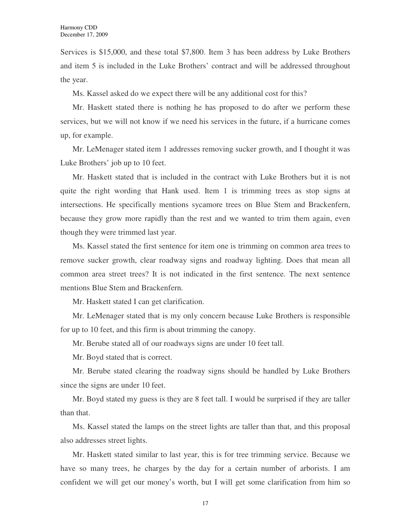Services is \$15,000, and these total \$7,800. Item 3 has been address by Luke Brothers and item 5 is included in the Luke Brothers' contract and will be addressed throughout the year.

Ms. Kassel asked do we expect there will be any additional cost for this?

Mr. Haskett stated there is nothing he has proposed to do after we perform these services, but we will not know if we need his services in the future, if a hurricane comes up, for example.

Mr. LeMenager stated item 1 addresses removing sucker growth, and I thought it was Luke Brothers' job up to 10 feet.

Mr. Haskett stated that is included in the contract with Luke Brothers but it is not quite the right wording that Hank used. Item 1 is trimming trees as stop signs at intersections. He specifically mentions sycamore trees on Blue Stem and Brackenfern, because they grow more rapidly than the rest and we wanted to trim them again, even though they were trimmed last year.

Ms. Kassel stated the first sentence for item one is trimming on common area trees to remove sucker growth, clear roadway signs and roadway lighting. Does that mean all common area street trees? It is not indicated in the first sentence. The next sentence mentions Blue Stem and Brackenfern.

Mr. Haskett stated I can get clarification.

Mr. LeMenager stated that is my only concern because Luke Brothers is responsible for up to 10 feet, and this firm is about trimming the canopy.

Mr. Berube stated all of our roadways signs are under 10 feet tall.

Mr. Boyd stated that is correct.

Mr. Berube stated clearing the roadway signs should be handled by Luke Brothers since the signs are under 10 feet.

Mr. Boyd stated my guess is they are 8 feet tall. I would be surprised if they are taller than that.

Ms. Kassel stated the lamps on the street lights are taller than that, and this proposal also addresses street lights.

Mr. Haskett stated similar to last year, this is for tree trimming service. Because we have so many trees, he charges by the day for a certain number of arborists. I am confident we will get our money's worth, but I will get some clarification from him so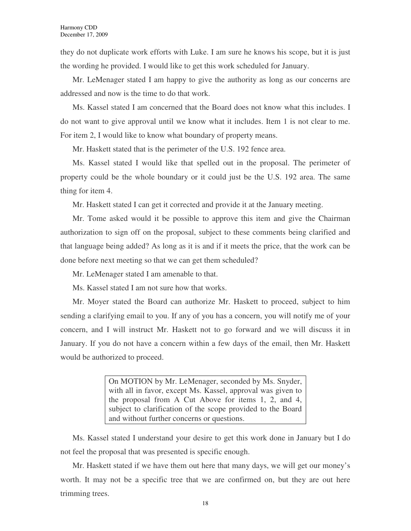they do not duplicate work efforts with Luke. I am sure he knows his scope, but it is just the wording he provided. I would like to get this work scheduled for January.

Mr. LeMenager stated I am happy to give the authority as long as our concerns are addressed and now is the time to do that work.

Ms. Kassel stated I am concerned that the Board does not know what this includes. I do not want to give approval until we know what it includes. Item 1 is not clear to me. For item 2, I would like to know what boundary of property means.

Mr. Haskett stated that is the perimeter of the U.S. 192 fence area.

Ms. Kassel stated I would like that spelled out in the proposal. The perimeter of property could be the whole boundary or it could just be the U.S. 192 area. The same thing for item 4.

Mr. Haskett stated I can get it corrected and provide it at the January meeting.

Mr. Tome asked would it be possible to approve this item and give the Chairman authorization to sign off on the proposal, subject to these comments being clarified and that language being added? As long as it is and if it meets the price, that the work can be done before next meeting so that we can get them scheduled?

Mr. LeMenager stated I am amenable to that.

Ms. Kassel stated I am not sure how that works.

Mr. Moyer stated the Board can authorize Mr. Haskett to proceed, subject to him sending a clarifying email to you. If any of you has a concern, you will notify me of your concern, and I will instruct Mr. Haskett not to go forward and we will discuss it in January. If you do not have a concern within a few days of the email, then Mr. Haskett would be authorized to proceed.

> On MOTION by Mr. LeMenager, seconded by Ms. Snyder, with all in favor, except Ms. Kassel, approval was given to the proposal from A Cut Above for items 1, 2, and 4, subject to clarification of the scope provided to the Board and without further concerns or questions.

Ms. Kassel stated I understand your desire to get this work done in January but I do not feel the proposal that was presented is specific enough.

Mr. Haskett stated if we have them out here that many days, we will get our money's worth. It may not be a specific tree that we are confirmed on, but they are out here trimming trees.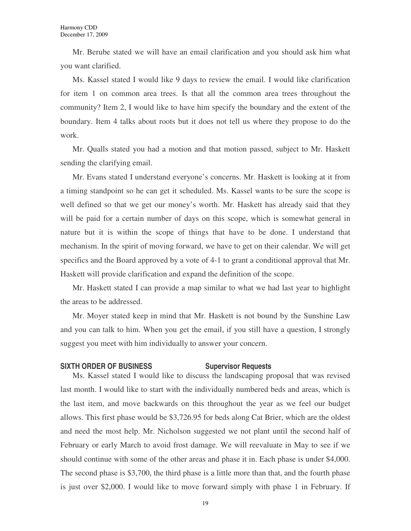Mr. Berube stated we will have an email clarification and you should ask him what you want clarified.

Ms. Kassel stated I would like 9 days to review the email. I would like clarification for item 1 on common area trees. Is that all the common area trees throughout the community? Item 2, I would like to have him specify the boundary and the extent of the boundary. Item 4 talks about roots but it does not tell us where they propose to do the work.

Mr. Qualls stated you had a motion and that motion passed, subject to Mr. Haskett sending the clarifying email.

Mr. Evans stated I understand everyone's concerns. Mr. Haskett is looking at it from a timing standpoint so he can get it scheduled. Ms. Kassel wants to be sure the scope is well defined so that we get our money's worth. Mr. Haskett has already said that they will be paid for a certain number of days on this scope, which is somewhat general in nature but it is within the scope of things that have to be done. I understand that mechanism. In the spirit of moving forward, we have to get on their calendar. We will get specifics and the Board approved by a vote of 4-1 to grant a conditional approval that Mr. Haskett will provide clarification and expand the definition of the scope.

Mr. Haskett stated I can provide a map similar to what we had last year to highlight the areas to be addressed.

Mr. Moyer stated keep in mind that Mr. Haskett is not bound by the Sunshine Law and you can talk to him. When you get the email, if you still have a question, I strongly suggest you meet with him individually to answer your concern.

#### **SIXTH ORDER OF BUSINESS SUPERVISOR Requests**

Ms. Kassel stated I would like to discuss the landscaping proposal that was revised last month. I would like to start with the individually numbered beds and areas, which is the last item, and move backwards on this throughout the year as we feel our budget allows. This first phase would be \$3,726.95 for beds along Cat Brier, which are the oldest and need the most help. Mr. Nicholson suggested we not plant until the second half of February or early March to avoid frost damage. We will reevaluate in May to see if we should continue with some of the other areas and phase it in. Each phase is under \$4,000. The second phase is \$3,700, the third phase is a little more than that, and the fourth phase is just over \$2,000. I would like to move forward simply with phase 1 in February. If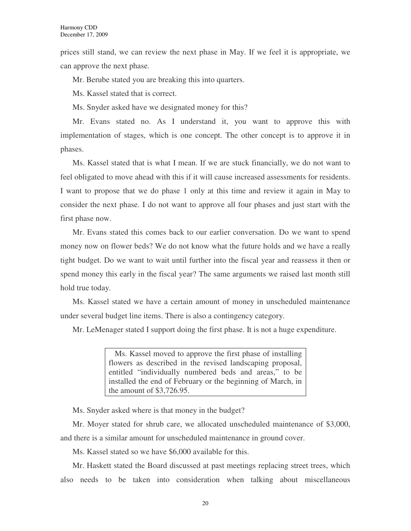prices still stand, we can review the next phase in May. If we feel it is appropriate, we can approve the next phase.

Mr. Berube stated you are breaking this into quarters.

Ms. Kassel stated that is correct.

Ms. Snyder asked have we designated money for this?

Mr. Evans stated no. As I understand it, you want to approve this with implementation of stages, which is one concept. The other concept is to approve it in phases.

Ms. Kassel stated that is what I mean. If we are stuck financially, we do not want to feel obligated to move ahead with this if it will cause increased assessments for residents. I want to propose that we do phase 1 only at this time and review it again in May to consider the next phase. I do not want to approve all four phases and just start with the first phase now.

Mr. Evans stated this comes back to our earlier conversation. Do we want to spend money now on flower beds? We do not know what the future holds and we have a really tight budget. Do we want to wait until further into the fiscal year and reassess it then or spend money this early in the fiscal year? The same arguments we raised last month still hold true today.

Ms. Kassel stated we have a certain amount of money in unscheduled maintenance under several budget line items. There is also a contingency category.

Mr. LeMenager stated I support doing the first phase. It is not a huge expenditure.

 Ms. Kassel moved to approve the first phase of installing flowers as described in the revised landscaping proposal, entitled "individually numbered beds and areas," to be installed the end of February or the beginning of March, in the amount of \$3,726.95.

Ms. Snyder asked where is that money in the budget?

Mr. Moyer stated for shrub care, we allocated unscheduled maintenance of \$3,000, and there is a similar amount for unscheduled maintenance in ground cover.

Ms. Kassel stated so we have \$6,000 available for this.

Mr. Haskett stated the Board discussed at past meetings replacing street trees, which also needs to be taken into consideration when talking about miscellaneous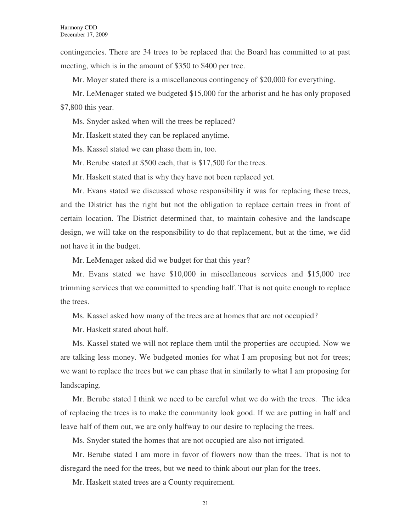contingencies. There are 34 trees to be replaced that the Board has committed to at past meeting, which is in the amount of \$350 to \$400 per tree.

Mr. Moyer stated there is a miscellaneous contingency of \$20,000 for everything.

Mr. LeMenager stated we budgeted \$15,000 for the arborist and he has only proposed \$7,800 this year.

Ms. Snyder asked when will the trees be replaced?

Mr. Haskett stated they can be replaced anytime.

Ms. Kassel stated we can phase them in, too.

Mr. Berube stated at \$500 each, that is \$17,500 for the trees.

Mr. Haskett stated that is why they have not been replaced yet.

Mr. Evans stated we discussed whose responsibility it was for replacing these trees, and the District has the right but not the obligation to replace certain trees in front of certain location. The District determined that, to maintain cohesive and the landscape design, we will take on the responsibility to do that replacement, but at the time, we did not have it in the budget.

Mr. LeMenager asked did we budget for that this year?

Mr. Evans stated we have \$10,000 in miscellaneous services and \$15,000 tree trimming services that we committed to spending half. That is not quite enough to replace the trees.

Ms. Kassel asked how many of the trees are at homes that are not occupied?

Mr. Haskett stated about half.

Ms. Kassel stated we will not replace them until the properties are occupied. Now we are talking less money. We budgeted monies for what I am proposing but not for trees; we want to replace the trees but we can phase that in similarly to what I am proposing for landscaping.

Mr. Berube stated I think we need to be careful what we do with the trees. The idea of replacing the trees is to make the community look good. If we are putting in half and leave half of them out, we are only halfway to our desire to replacing the trees.

Ms. Snyder stated the homes that are not occupied are also not irrigated.

Mr. Berube stated I am more in favor of flowers now than the trees. That is not to disregard the need for the trees, but we need to think about our plan for the trees.

Mr. Haskett stated trees are a County requirement.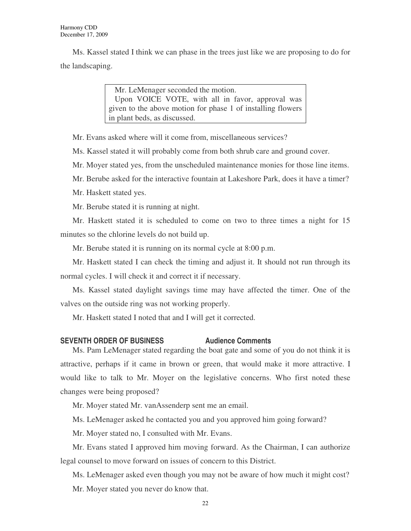Ms. Kassel stated I think we can phase in the trees just like we are proposing to do for the landscaping.

> Mr. LeMenager seconded the motion. Upon VOICE VOTE, with all in favor, approval was given to the above motion for phase 1 of installing flowers in plant beds, as discussed.

Mr. Evans asked where will it come from, miscellaneous services?

Ms. Kassel stated it will probably come from both shrub care and ground cover.

Mr. Moyer stated yes, from the unscheduled maintenance monies for those line items.

Mr. Berube asked for the interactive fountain at Lakeshore Park, does it have a timer?

Mr. Haskett stated yes.

Mr. Berube stated it is running at night.

Mr. Haskett stated it is scheduled to come on two to three times a night for 15 minutes so the chlorine levels do not build up.

Mr. Berube stated it is running on its normal cycle at 8:00 p.m.

Mr. Haskett stated I can check the timing and adjust it. It should not run through its normal cycles. I will check it and correct it if necessary.

Ms. Kassel stated daylight savings time may have affected the timer. One of the valves on the outside ring was not working properly.

Mr. Haskett stated I noted that and I will get it corrected.

#### **SEVENTH ORDER OF BUSINESS Audience Comments**

Ms. Pam LeMenager stated regarding the boat gate and some of you do not think it is attractive, perhaps if it came in brown or green, that would make it more attractive. I would like to talk to Mr. Moyer on the legislative concerns. Who first noted these changes were being proposed?

Mr. Moyer stated Mr. vanAssenderp sent me an email.

Ms. LeMenager asked he contacted you and you approved him going forward?

Mr. Moyer stated no, I consulted with Mr. Evans.

Mr. Evans stated I approved him moving forward. As the Chairman, I can authorize legal counsel to move forward on issues of concern to this District.

Ms. LeMenager asked even though you may not be aware of how much it might cost? Mr. Moyer stated you never do know that.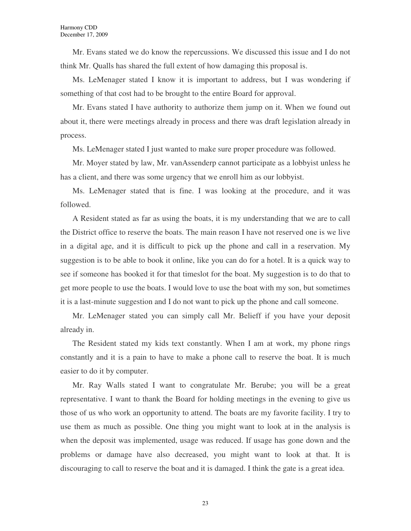Mr. Evans stated we do know the repercussions. We discussed this issue and I do not think Mr. Qualls has shared the full extent of how damaging this proposal is.

Ms. LeMenager stated I know it is important to address, but I was wondering if something of that cost had to be brought to the entire Board for approval.

Mr. Evans stated I have authority to authorize them jump on it. When we found out about it, there were meetings already in process and there was draft legislation already in process.

Ms. LeMenager stated I just wanted to make sure proper procedure was followed.

Mr. Moyer stated by law, Mr. vanAssenderp cannot participate as a lobbyist unless he has a client, and there was some urgency that we enroll him as our lobbyist.

Ms. LeMenager stated that is fine. I was looking at the procedure, and it was followed.

A Resident stated as far as using the boats, it is my understanding that we are to call the District office to reserve the boats. The main reason I have not reserved one is we live in a digital age, and it is difficult to pick up the phone and call in a reservation. My suggestion is to be able to book it online, like you can do for a hotel. It is a quick way to see if someone has booked it for that timeslot for the boat. My suggestion is to do that to get more people to use the boats. I would love to use the boat with my son, but sometimes it is a last-minute suggestion and I do not want to pick up the phone and call someone.

Mr. LeMenager stated you can simply call Mr. Belieff if you have your deposit already in.

The Resident stated my kids text constantly. When I am at work, my phone rings constantly and it is a pain to have to make a phone call to reserve the boat. It is much easier to do it by computer.

Mr. Ray Walls stated I want to congratulate Mr. Berube; you will be a great representative. I want to thank the Board for holding meetings in the evening to give us those of us who work an opportunity to attend. The boats are my favorite facility. I try to use them as much as possible. One thing you might want to look at in the analysis is when the deposit was implemented, usage was reduced. If usage has gone down and the problems or damage have also decreased, you might want to look at that. It is discouraging to call to reserve the boat and it is damaged. I think the gate is a great idea.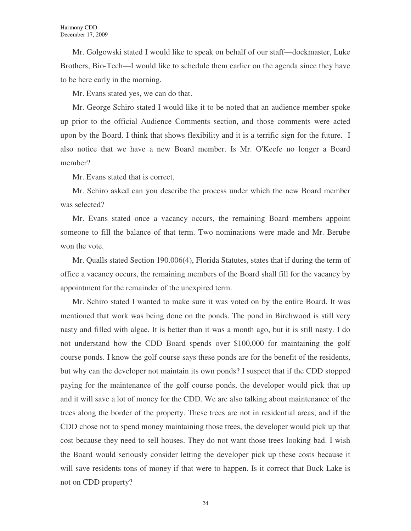Mr. Golgowski stated I would like to speak on behalf of our staff—dockmaster, Luke Brothers, Bio-Tech—I would like to schedule them earlier on the agenda since they have to be here early in the morning.

Mr. Evans stated yes, we can do that.

Mr. George Schiro stated I would like it to be noted that an audience member spoke up prior to the official Audience Comments section, and those comments were acted upon by the Board. I think that shows flexibility and it is a terrific sign for the future. I also notice that we have a new Board member. Is Mr. O'Keefe no longer a Board member?

Mr. Evans stated that is correct.

Mr. Schiro asked can you describe the process under which the new Board member was selected?

Mr. Evans stated once a vacancy occurs, the remaining Board members appoint someone to fill the balance of that term. Two nominations were made and Mr. Berube won the vote.

Mr. Qualls stated Section 190.006(4), Florida Statutes, states that if during the term of office a vacancy occurs, the remaining members of the Board shall fill for the vacancy by appointment for the remainder of the unexpired term.

Mr. Schiro stated I wanted to make sure it was voted on by the entire Board. It was mentioned that work was being done on the ponds. The pond in Birchwood is still very nasty and filled with algae. It is better than it was a month ago, but it is still nasty. I do not understand how the CDD Board spends over \$100,000 for maintaining the golf course ponds. I know the golf course says these ponds are for the benefit of the residents, but why can the developer not maintain its own ponds? I suspect that if the CDD stopped paying for the maintenance of the golf course ponds, the developer would pick that up and it will save a lot of money for the CDD. We are also talking about maintenance of the trees along the border of the property. These trees are not in residential areas, and if the CDD chose not to spend money maintaining those trees, the developer would pick up that cost because they need to sell houses. They do not want those trees looking bad. I wish the Board would seriously consider letting the developer pick up these costs because it will save residents tons of money if that were to happen. Is it correct that Buck Lake is not on CDD property?